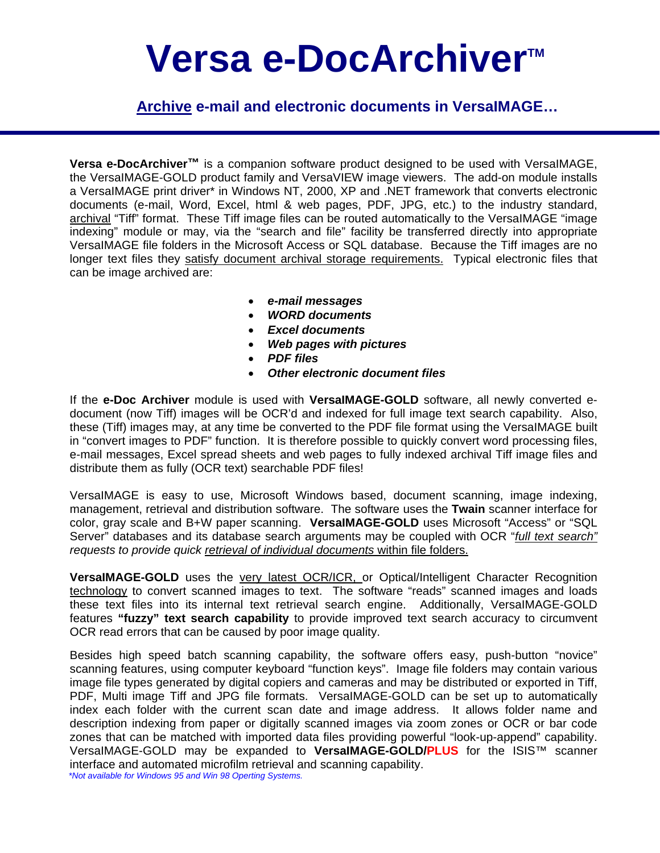# Versa e-DocArchiver<sup>™</sup>

**Archive e-mail and electronic documents in VersaIMAGE…**

**Versa e-DocArchiver™** is a companion software product designed to be used with VersaIMAGE, the VersaIMAGE-GOLD product family and VersaVIEW image viewers. The add-on module installs a VersaIMAGE print driver\* in Windows NT, 2000, XP and .NET framework that converts electronic documents (e-mail, Word, Excel, html & web pages, PDF, JPG, etc.) to the industry standard, archival "Tiff" format. These Tiff image files can be routed automatically to the VersaIMAGE "image indexing" module or may, via the "search and file" facility be transferred directly into appropriate VersaIMAGE file folders in the Microsoft Access or SQL database. Because the Tiff images are no longer text files they satisfy document archival storage requirements. Typical electronic files that can be image archived are:

- *e-mail messages*
- *WORD documents*
- *Excel documents*
- *Web pages with pictures*
- *PDF files*
- *Other electronic document files*

If the **e-Doc Archiver** module is used with **VersaIMAGE-GOLD** software, all newly converted edocument (now Tiff) images will be OCR'd and indexed for full image text search capability. Also, these (Tiff) images may, at any time be converted to the PDF file format using the VersaIMAGE built in "convert images to PDF" function. It is therefore possible to quickly convert word processing files, e-mail messages, Excel spread sheets and web pages to fully indexed archival Tiff image files and distribute them as fully (OCR text) searchable PDF files!

VersaIMAGE is easy to use, Microsoft Windows based, document scanning, image indexing, management, retrieval and distribution software. The software uses the **Twain** scanner interface for color, gray scale and B+W paper scanning. **VersaIMAGE-GOLD** uses Microsoft "Access" or "SQL Server" databases and its database search arguments may be coupled with OCR "*full text search" requests to provide quick retrieval of individual documents* within file folders.

**VersaIMAGE-GOLD** uses the very latest OCR/ICR, or Optical/Intelligent Character Recognition technology to convert scanned images to text. The software "reads" scanned images and loads these text files into its internal text retrieval search engine. Additionally, VersaIMAGE-GOLD features **"fuzzy" text search capability** to provide improved text search accuracy to circumvent OCR read errors that can be caused by poor image quality.

Besides high speed batch scanning capability, the software offers easy, push-button "novice" scanning features, using computer keyboard "function keys". Image file folders may contain various image file types generated by digital copiers and cameras and may be distributed or exported in Tiff, PDF, Multi image Tiff and JPG file formats. VersaIMAGE-GOLD can be set up to automatically index each folder with the current scan date and image address. It allows folder name and description indexing from paper or digitally scanned images via zoom zones or OCR or bar code zones that can be matched with imported data files providing powerful "look-up-append" capability. VersaIMAGE-GOLD may be expanded to **VersaIMAGE-GOLD/PLUS** for the ISIS™ scanner interface and automated microfilm retrieval and scanning capability.  *\*Not available for Windows 95 and Win 98 Operting Systems.*